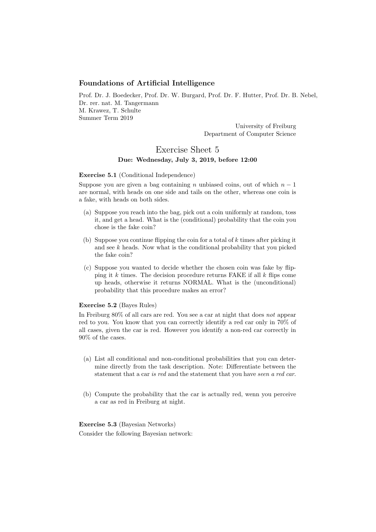## Foundations of Artificial Intelligence

Prof. Dr. J. Boedecker, Prof. Dr. W. Burgard, Prof. Dr. F. Hutter, Prof. Dr. B. Nebel, Dr. rer. nat. M. Tangermann M. Krawez, T. Schulte Summer Term 2019

> University of Freiburg Department of Computer Science

## Exercise Sheet 5 Due: Wednesday, July 3, 2019, before 12:00

## Exercise 5.1 (Conditional Independence)

Suppose you are given a bag containing n unbiased coins, out of which  $n-1$ are normal, with heads on one side and tails on the other, whereas one coin is a fake, with heads on both sides.

- (a) Suppose you reach into the bag, pick out a coin uniformly at random, toss it, and get a head. What is the (conditional) probability that the coin you chose is the fake coin?
- (b) Suppose you continue flipping the coin for a total of  $k$  times after picking it and see  $k$  heads. Now what is the conditional probability that you picked the fake coin?
- (c) Suppose you wanted to decide whether the chosen coin was fake by flipping it k times. The decision procedure returns FAKE if all  $k$  flips come up heads, otherwise it returns NORMAL. What is the (unconditional) probability that this procedure makes an error?

## Exercise 5.2 (Bayes Rules)

In Freiburg 80% of all cars are red. You see a car at night that does not appear red to you. You know that you can correctly identify a red car only in 70% of all cases, given the car is red. However you identify a non-red car correctly in 90% of the cases.

- (a) List all conditional and non-conditional probabilities that you can determine directly from the task description. Note: Differentiate between the statement that a car is red and the statement that you have seen a red car.
- (b) Compute the probability that the car is actually red, wenn you perceive a car as red in Freiburg at night.

Exercise 5.3 (Bayesian Networks) Consider the following Bayesian network: